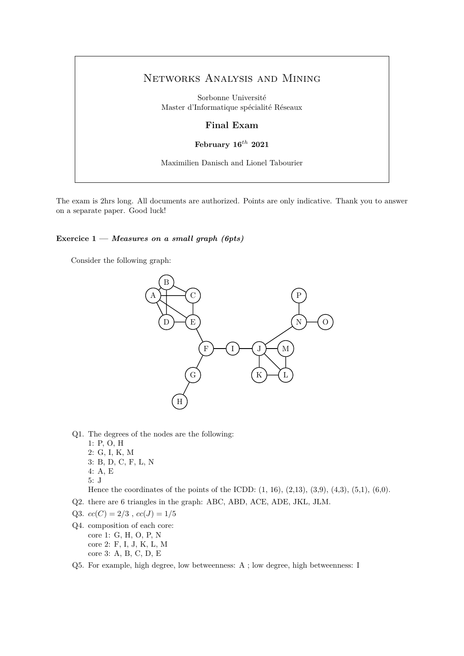# Networks Analysis and Mining

Sorbonne Université Master d'Informatique spécialité Réseaux

## **Final Exam**

# **February 16***th* **2021**

Maximilien Danisch and Lionel Tabourier

The exam is 2hrs long. All documents are authorized. Points are only indicative. Thank you to answer on a separate paper. Good luck!

#### **Exercice 1 —** *Measures on a small graph (6pts)*

Consider the following graph:



- Q1. The degrees of the nodes are the following:
	- 1: P, O, H
	- 2: G, I, K, M 3: B, D, C, F, L, N
	- 4: A, E
	- 5: J

Hence the coordinates of the points of the ICDD:  $(1, 16)$ ,  $(2, 13)$ ,  $(3, 9)$ ,  $(4, 3)$ ,  $(5, 1)$ ,  $(6, 0)$ .

- Q2. there are 6 triangles in the graph: ABC, ABD, ACE, ADE, JKL, JLM.
- Q3.  $cc(C) = 2/3$ ,  $cc(J) = 1/5$
- Q4. composition of each core: core 1: G, H, O, P, N core 2: F, I, J, K, L, M core 3: A, B, C, D, E
- Q5. For example, high degree, low betweenness: A ; low degree, high betweenness: I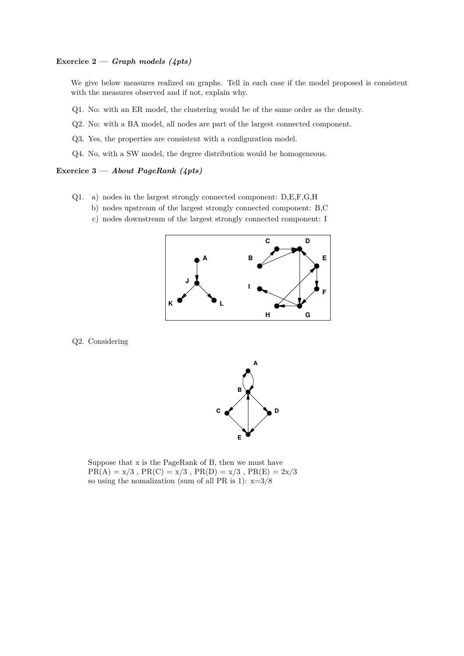## **Exercice 2 —** *Graph models (4pts)*

We give below measures realized on graphs. Tell in each case if the model proposed is consistent with the measures observed and if not, explain why.

- Q1. No: with an ER model, the clustering would be of the same order as the density.
- Q2. No: with a BA model, all nodes are part of the largest connected component.
- Q3. Yes, the properties are consistent with a configuration model.
- Q4. No, with a SW model, the degree distribution would be homogeneous.

#### **Exercice 3 —** *About PageRank (4pts)*

- Q1. a) nodes in the largest strongly connected component: D,E,F,G,H
	- b) nodes upstream of the largest strongly connected component: B,C
	- c) nodes downstream of the largest strongly connected component: I



#### Q2. Considering



Suppose that x is the PageRank of B, then we must have  $PR(A) = x/3$ ,  $PR(C) = x/3$ ,  $PR(D) = x/3$ ,  $PR(E) = 2x/3$ so using the nomalization (sum of all PR is 1):  $x=3/8$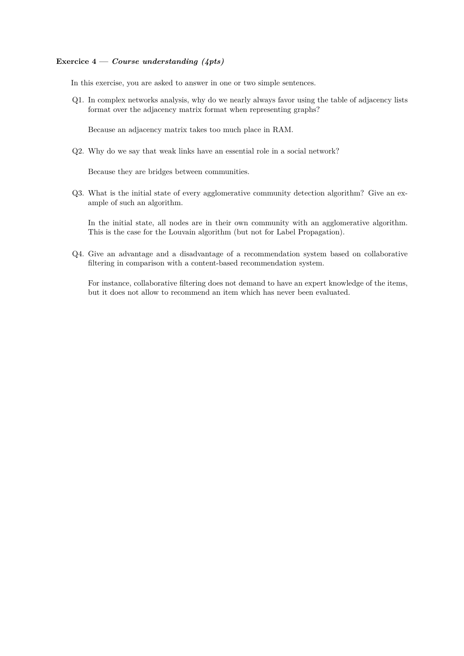#### **Exercice 4 —** *Course understanding (4pts)*

In this exercise, you are asked to answer in one or two simple sentences.

Q1. In complex networks analysis, why do we nearly always favor using the table of adjacency lists format over the adjacency matrix format when representing graphs?

Because an adjacency matrix takes too much place in RAM.

Q2. Why do we say that weak links have an essential role in a social network?

Because they are bridges between communities.

Q3. What is the initial state of every agglomerative community detection algorithm? Give an example of such an algorithm.

In the initial state, all nodes are in their own community with an agglomerative algorithm. This is the case for the Louvain algorithm (but not for Label Propagation).

Q4. Give an advantage and a disadvantage of a recommendation system based on collaborative filtering in comparison with a content-based recommendation system.

For instance, collaborative filtering does not demand to have an expert knowledge of the items, but it does not allow to recommend an item which has never been evaluated.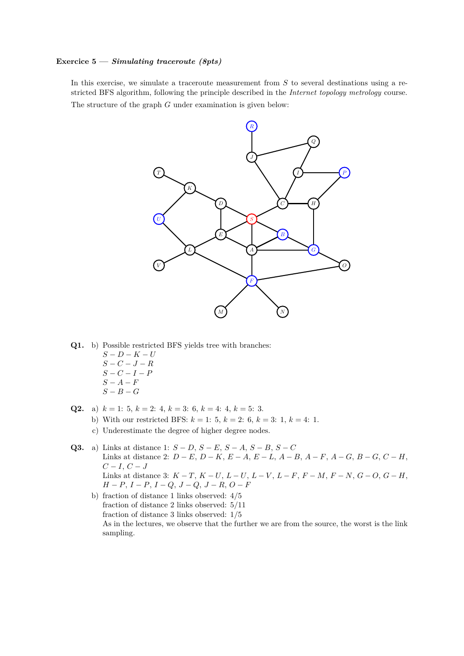#### **Exercice 5 —** *Simulating traceroute (8pts)*

In this exercise, we simulate a traceroute measurement from *S* to several destinations using a restricted BFS algorithm, following the principle described in the *Internet topology metrology* course.

The structure of the graph *G* under examination is given below:



- **Q1.** b) Possible restricted BFS yields tree with branches:
	- *S* − *D* − *K* − *U S* − *C* − *J* − *R S* − *C* − *I* − *P*
	- *S* − *A* − *F*  $S - B - G$
- **Q2.** a)  $k = 1$ : 5,  $k = 2$ : 4,  $k = 3$ : 6,  $k = 4$ : 4,  $k = 5$ : 3.
	- b) With our restricted BFS:  $k = 1$ : 5,  $k = 2$ : 6,  $k = 3$ : 1,  $k = 4$ : 1.
	- c) Underestimate the degree of higher degree nodes.
- **Q3.** a) Links at distance 1: *S* − *D*, *S* − *E*, *S* − *A*, *S* − *B*, *S* − *C* Links at distance 2: *D* − *E*, *D* − *K*, *E* − *A*, *E* − *L*, *A* − *B*, *A* − *F*, *A* − *G*, *B* − *G*, *C* − *H*,  $C - I, C - J$ Links at distance 3: *K* − *T*, *K* − *U*, *L* − *U*, *L* − *V* , *L* − *F*, *F* − *M*, *F* − *N*, *G* − *O*, *G* − *H*, *H* − *P*, *I* − *P*, *I* − *Q*, *J* − *Q*, *J* − *R*, *O* − *F*
	- b) fraction of distance 1 links observed: 4/5 fraction of distance 2 links observed: 5/11 fraction of distance 3 links observed: 1/5 As in the lectures, we observe that the further we are from the source, the worst is the link sampling.